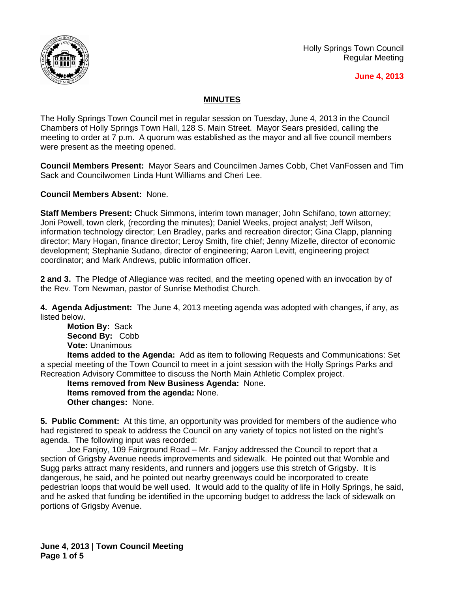

Holly Springs Town Council Regular Meeting

## **June 4, 2013**

## **MINUTES**

The Holly Springs Town Council met in regular session on Tuesday, June 4, 2013 in the Council Chambers of Holly Springs Town Hall, 128 S. Main Street. Mayor Sears presided, calling the meeting to order at 7 p.m. A quorum was established as the mayor and all five council members were present as the meeting opened.

**Council Members Present:** Mayor Sears and Councilmen James Cobb, Chet VanFossen and Tim Sack and Councilwomen Linda Hunt Williams and Cheri Lee.

**Council Members Absent:** None.

**Staff Members Present:** Chuck Simmons, interim town manager; John Schifano, town attorney; Joni Powell, town clerk, (recording the minutes); Daniel Weeks, project analyst; Jeff Wilson, information technology director; Len Bradley, parks and recreation director; Gina Clapp, planning director; Mary Hogan, finance director; Leroy Smith, fire chief; Jenny Mizelle, director of economic development; Stephanie Sudano, director of engineering; Aaron Levitt, engineering project coordinator; and Mark Andrews, public information officer.

**2 and 3.** The Pledge of Allegiance was recited, and the meeting opened with an invocation by of the Rev. Tom Newman, pastor of Sunrise Methodist Church.

**4. Agenda Adjustment:** The June 4, 2013 meeting agenda was adopted with changes, if any, as listed below.

**Motion By:** Sack **Second By:** Cobb **Vote:** Unanimous

**Items added to the Agenda:** Add as item to following Requests and Communications: Set a special meeting of the Town Council to meet in a joint session with the Holly Springs Parks and Recreation Advisory Committee to discuss the North Main Athletic Complex project.

**Items removed from New Business Agenda:** None. **Items removed from the agenda:** None. **Other changes:** None.

**5. Public Comment:** At this time, an opportunity was provided for members of the audience who had registered to speak to address the Council on any variety of topics not listed on the night's agenda. The following input was recorded:

Joe Fanjoy, 109 Fairground Road – Mr. Fanjoy addressed the Council to report that a section of Grigsby Avenue needs improvements and sidewalk. He pointed out that Womble and Sugg parks attract many residents, and runners and joggers use this stretch of Grigsby. It is dangerous, he said, and he pointed out nearby greenways could be incorporated to create pedestrian loops that would be well used. It would add to the quality of life in Holly Springs, he said, and he asked that funding be identified in the upcoming budget to address the lack of sidewalk on portions of Grigsby Avenue.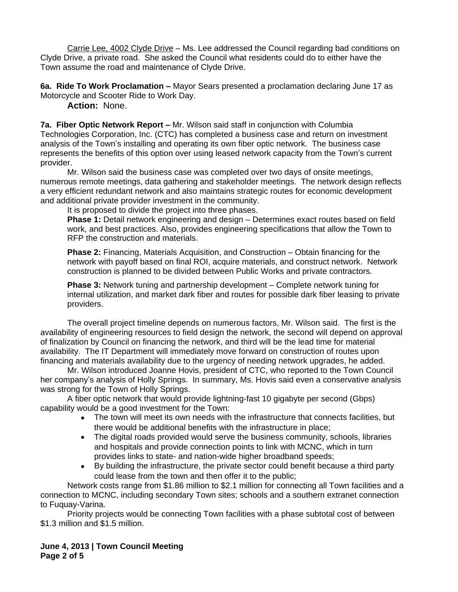Carrie Lee, 4002 Clyde Drive – Ms. Lee addressed the Council regarding bad conditions on Clyde Drive, a private road. She asked the Council what residents could do to either have the Town assume the road and maintenance of Clyde Drive.

**6a. Ride To Work Proclamation –** Mayor Sears presented a proclamation declaring June 17 as Motorcycle and Scooter Ride to Work Day.

**Action:** None.

**7a. Fiber Optic Network Report –** Mr. Wilson said staff in conjunction with Columbia Technologies Corporation, Inc. (CTC) has completed a business case and return on investment analysis of the Town's installing and operating its own fiber optic network. The business case represents the benefits of this option over using leased network capacity from the Town's current provider.

Mr. Wilson said the business case was completed over two days of onsite meetings, numerous remote meetings, data gathering and stakeholder meetings. The network design reflects a very efficient redundant network and also maintains strategic routes for economic development and additional private provider investment in the community.

It is proposed to divide the project into three phases.

**Phase 1:** Detail network engineering and design – Determines exact routes based on field work, and best practices. Also, provides engineering specifications that allow the Town to RFP the construction and materials.

**Phase 2:** Financing, Materials Acquisition, and Construction – Obtain financing for the network with payoff based on final ROI, acquire materials, and construct network. Network construction is planned to be divided between Public Works and private contractors.

**Phase 3:** Network tuning and partnership development – Complete network tuning for internal utilization, and market dark fiber and routes for possible dark fiber leasing to private providers.

The overall project timeline depends on numerous factors, Mr. Wilson said. The first is the availability of engineering resources to field design the network, the second will depend on approval of finalization by Council on financing the network, and third will be the lead time for material availability. The IT Department will immediately move forward on construction of routes upon financing and materials availability due to the urgency of needing network upgrades, he added.

Mr. Wilson introduced Joanne Hovis, president of CTC, who reported to the Town Council her company's analysis of Holly Springs. In summary, Ms. Hovis said even a conservative analysis was strong for the Town of Holly Springs.

A fiber optic network that would provide lightning-fast 10 gigabyte per second (Gbps) capability would be a good investment for the Town:

- The town will meet its own needs with the infrastructure that connects facilities, but there would be additional benefits with the infrastructure in place;
- The digital roads provided would serve the business community, schools, libraries and hospitals and provide connection points to link with MCNC, which in turn provides links to state- and nation-wide higher broadband speeds;
- By building the infrastructure, the private sector could benefit because a third party could lease from the town and then offer it to the public;

Network costs range from \$1.86 million to \$2.1 million for connecting all Town facilities and a connection to MCNC, including secondary Town sites; schools and a southern extranet connection to Fuquay-Varina.

Priority projects would be connecting Town facilities with a phase subtotal cost of between \$1.3 million and \$1.5 million.

**June 4, 2013 | Town Council Meeting Page 2 of 5**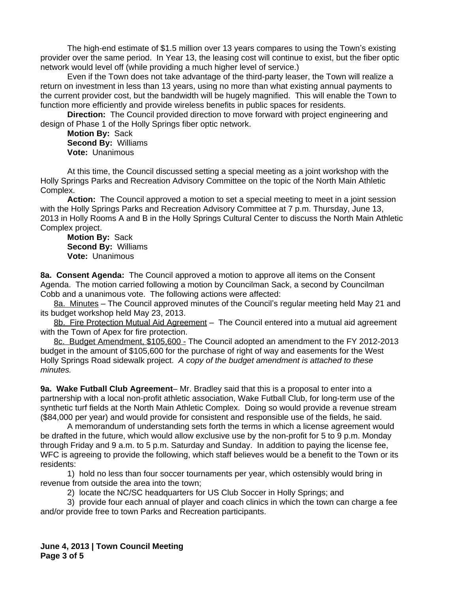The high-end estimate of \$1.5 million over 13 years compares to using the Town's existing provider over the same period. In Year 13, the leasing cost will continue to exist, but the fiber optic network would level off (while providing a much higher level of service.)

Even if the Town does not take advantage of the third-party leaser, the Town will realize a return on investment in less than 13 years, using no more than what existing annual payments to the current provider cost, but the bandwidth will be hugely magnified. This will enable the Town to function more efficiently and provide wireless benefits in public spaces for residents.

**Direction:** The Council provided direction to move forward with project engineering and design of Phase 1 of the Holly Springs fiber optic network.

**Motion By:** Sack **Second By:** Williams **Vote:** Unanimous

At this time, the Council discussed setting a special meeting as a joint workshop with the Holly Springs Parks and Recreation Advisory Committee on the topic of the North Main Athletic Complex.

**Action:** The Council approved a motion to set a special meeting to meet in a joint session with the Holly Springs Parks and Recreation Advisory Committee at 7 p.m. Thursday, June 13, 2013 in Holly Rooms A and B in the Holly Springs Cultural Center to discuss the North Main Athletic Complex project.

**Motion By:** Sack **Second By:** Williams **Vote:** Unanimous

**8a. Consent Agenda:** The Council approved a motion to approve all items on the Consent Agenda. The motion carried following a motion by Councilman Sack, a second by Councilman Cobb and a unanimous vote. The following actions were affected:

8a. Minutes – The Council approved minutes of the Council's regular meeting held May 21 and its budget workshop held May 23, 2013.

8b. Fire Protection Mutual Aid Agreement - The Council entered into a mutual aid agreement with the Town of Apex for fire protection.

8c. Budget Amendment, \$105,600 - The Council adopted an amendment to the FY 2012-2013 budget in the amount of \$105,600 for the purchase of right of way and easements for the West Holly Springs Road sidewalk project. *A copy of the budget amendment is attached to these minutes.*

**9a. Wake Futball Club Agreement**– Mr. Bradley said that this is a proposal to enter into a partnership with a local non-profit athletic association, Wake Futball Club, for long-term use of the synthetic turf fields at the North Main Athletic Complex. Doing so would provide a revenue stream (\$84,000 per year) and would provide for consistent and responsible use of the fields, he said.

A memorandum of understanding sets forth the terms in which a license agreement would be drafted in the future, which would allow exclusive use by the non-profit for 5 to 9 p.m. Monday through Friday and 9 a.m. to 5 p.m. Saturday and Sunday. In addition to paying the license fee, WFC is agreeing to provide the following, which staff believes would be a benefit to the Town or its residents:

1) hold no less than four soccer tournaments per year, which ostensibly would bring in revenue from outside the area into the town;

2) locate the NC/SC headquarters for US Club Soccer in Holly Springs; and

3) provide four each annual of player and coach clinics in which the town can charge a fee and/or provide free to town Parks and Recreation participants.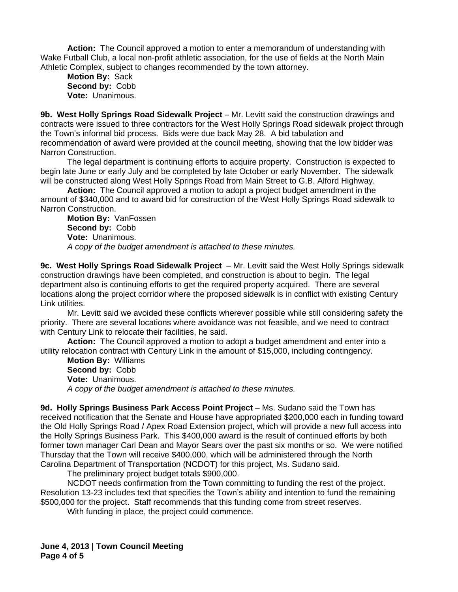**Action:** The Council approved a motion to enter a memorandum of understanding with Wake Futball Club, a local non-profit athletic association, for the use of fields at the North Main Athletic Complex, subject to changes recommended by the town attorney.

**Motion By:** Sack **Second by:** Cobb **Vote:** Unanimous.

**9b. West Holly Springs Road Sidewalk Project** – Mr. Levitt said the construction drawings and contracts were issued to three contractors for the West Holly Springs Road sidewalk project through the Town's informal bid process. Bids were due back May 28. A bid tabulation and recommendation of award were provided at the council meeting, showing that the low bidder was Narron Construction.

The legal department is continuing efforts to acquire property. Construction is expected to begin late June or early July and be completed by late October or early November. The sidewalk will be constructed along West Holly Springs Road from Main Street to G.B. Alford Highway.

**Action:** The Council approved a motion to adopt a project budget amendment in the amount of \$340,000 and to award bid for construction of the West Holly Springs Road sidewalk to Narron Construction.

**Motion By:** VanFossen **Second by:** Cobb **Vote:** Unanimous. *A copy of the budget amendment is attached to these minutes.*

**9c. West Holly Springs Road Sidewalk Project** – Mr. Levitt said the West Holly Springs sidewalk construction drawings have been completed, and construction is about to begin. The legal department also is continuing efforts to get the required property acquired. There are several locations along the project corridor where the proposed sidewalk is in conflict with existing Century Link utilities.

Mr. Levitt said we avoided these conflicts wherever possible while still considering safety the priority. There are several locations where avoidance was not feasible, and we need to contract with Century Link to relocate their facilities, he said.

**Action:** The Council approved a motion to adopt a budget amendment and enter into a utility relocation contract with Century Link in the amount of \$15,000, including contingency.

**Motion By:** Williams **Second by:** Cobb **Vote:** Unanimous. *A copy of the budget amendment is attached to these minutes.*

**9d. Holly Springs Business Park Access Point Project** – Ms. Sudano said the Town has received notification that the Senate and House have appropriated \$200,000 each in funding toward the Old Holly Springs Road / Apex Road Extension project, which will provide a new full access into the Holly Springs Business Park. This \$400,000 award is the result of continued efforts by both former town manager Carl Dean and Mayor Sears over the past six months or so. We were notified Thursday that the Town will receive \$400,000, which will be administered through the North Carolina Department of Transportation (NCDOT) for this project, Ms. Sudano said.

The preliminary project budget totals \$900,000.

NCDOT needs confirmation from the Town committing to funding the rest of the project. Resolution 13-23 includes text that specifies the Town's ability and intention to fund the remaining \$500,000 for the project. Staff recommends that this funding come from street reserves.

With funding in place, the project could commence.

**June 4, 2013 | Town Council Meeting Page 4 of 5**